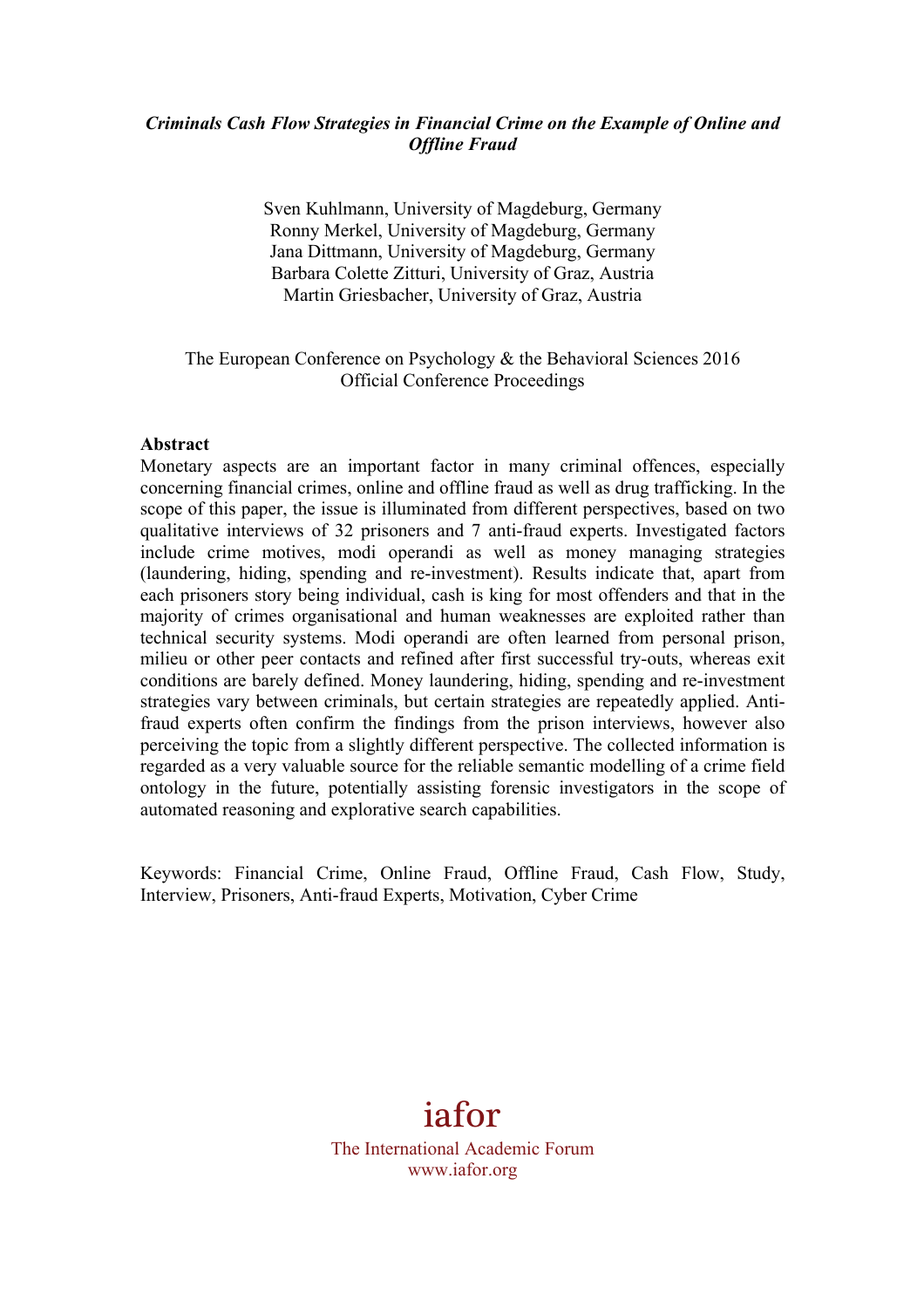# *Criminals Cash Flow Strategies in Financial Crime on the Example of Online and Offline Fraud*

Sven Kuhlmann, University of Magdeburg, Germany Ronny Merkel, University of Magdeburg, Germany Jana Dittmann, University of Magdeburg, Germany Barbara Colette Zitturi, University of Graz, Austria Martin Griesbacher, University of Graz, Austria

# The European Conference on Psychology & the Behavioral Sciences 2016 Official Conference Proceedings

## **Abstract**

Monetary aspects are an important factor in many criminal offences, especially concerning financial crimes, online and offline fraud as well as drug trafficking. In the scope of this paper, the issue is illuminated from different perspectives, based on two qualitative interviews of 32 prisoners and 7 anti-fraud experts. Investigated factors include crime motives, modi operandi as well as money managing strategies (laundering, hiding, spending and re-investment). Results indicate that, apart from each prisoners story being individual, cash is king for most offenders and that in the majority of crimes organisational and human weaknesses are exploited rather than technical security systems. Modi operandi are often learned from personal prison, milieu or other peer contacts and refined after first successful try-outs, whereas exit conditions are barely defined. Money laundering, hiding, spending and re-investment strategies vary between criminals, but certain strategies are repeatedly applied. Antifraud experts often confirm the findings from the prison interviews, however also perceiving the topic from a slightly different perspective. The collected information is regarded as a very valuable source for the reliable semantic modelling of a crime field ontology in the future, potentially assisting forensic investigators in the scope of automated reasoning and explorative search capabilities.

Keywords: Financial Crime, Online Fraud, Offline Fraud, Cash Flow, Study, Interview, Prisoners, Anti-fraud Experts, Motivation, Cyber Crime

# iafor

The International Academic Forum www.iafor.org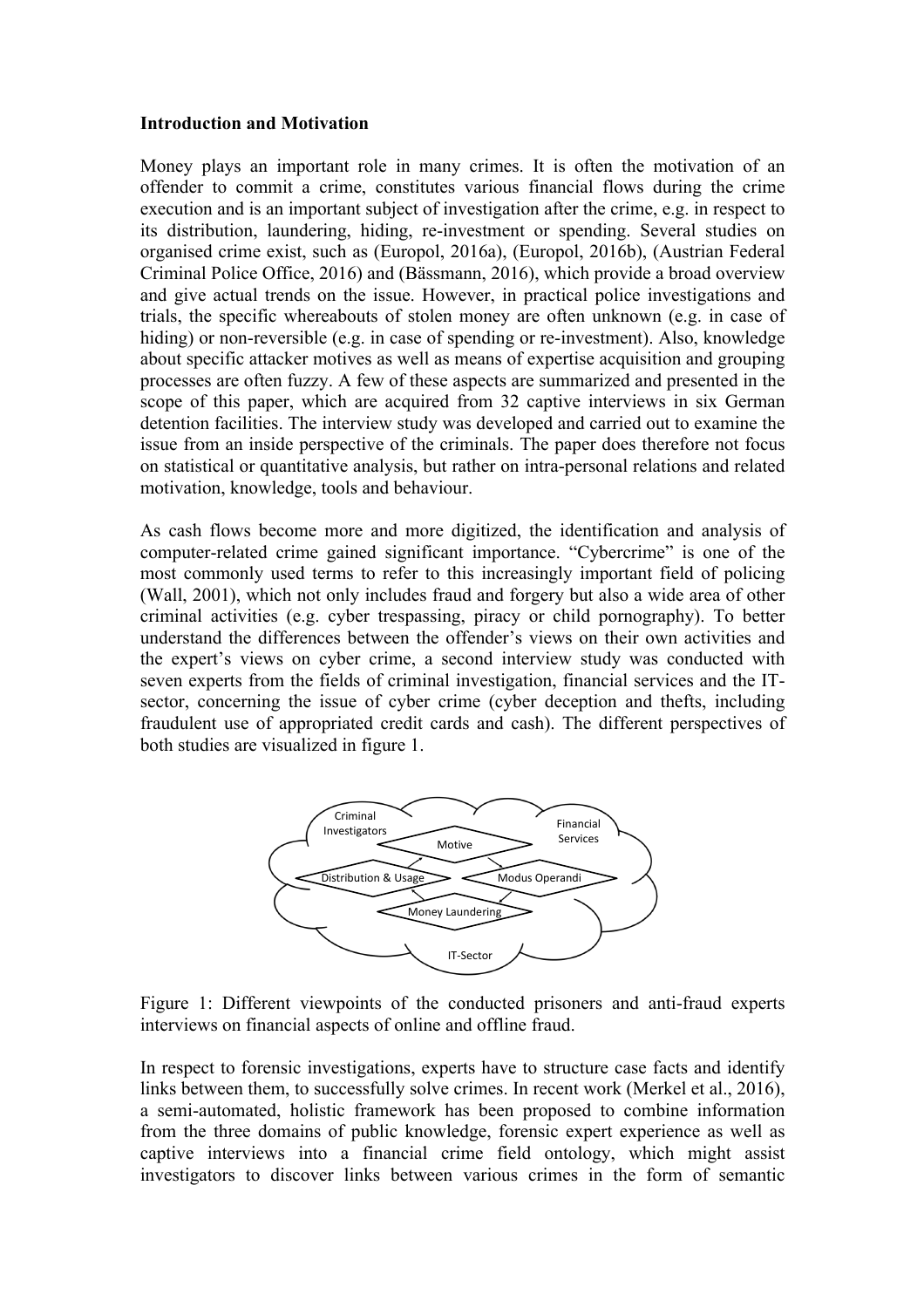#### **Introduction and Motivation**

Money plays an important role in many crimes. It is often the motivation of an offender to commit a crime, constitutes various financial flows during the crime execution and is an important subject of investigation after the crime, e.g. in respect to its distribution, laundering, hiding, re-investment or spending. Several studies on organised crime exist, such as (Europol, 2016a), (Europol, 2016b), (Austrian Federal Criminal Police Office, 2016) and (Bässmann, 2016), which provide a broad overview and give actual trends on the issue. However, in practical police investigations and trials, the specific whereabouts of stolen money are often unknown (e.g. in case of hiding) or non-reversible (e.g. in case of spending or re-investment). Also, knowledge about specific attacker motives as well as means of expertise acquisition and grouping processes are often fuzzy. A few of these aspects are summarized and presented in the scope of this paper, which are acquired from 32 captive interviews in six German detention facilities. The interview study was developed and carried out to examine the issue from an inside perspective of the criminals. The paper does therefore not focus on statistical or quantitative analysis, but rather on intra-personal relations and related motivation, knowledge, tools and behaviour.

As cash flows become more and more digitized, the identification and analysis of computer-related crime gained significant importance. "Cybercrime" is one of the most commonly used terms to refer to this increasingly important field of policing (Wall, 2001), which not only includes fraud and forgery but also a wide area of other criminal activities (e.g. cyber trespassing, piracy or child pornography). To better understand the differences between the offender's views on their own activities and the expert's views on cyber crime, a second interview study was conducted with seven experts from the fields of criminal investigation, financial services and the ITsector, concerning the issue of cyber crime (cyber deception and thefts, including fraudulent use of appropriated credit cards and cash). The different perspectives of both studies are visualized in figure 1.



Figure 1: Different viewpoints of the conducted prisoners and anti-fraud experts interviews on financial aspects of online and offline fraud.

In respect to forensic investigations, experts have to structure case facts and identify links between them, to successfully solve crimes. In recent work (Merkel et al., 2016), a semi-automated, holistic framework has been proposed to combine information from the three domains of public knowledge, forensic expert experience as well as captive interviews into a financial crime field ontology, which might assist investigators to discover links between various crimes in the form of semantic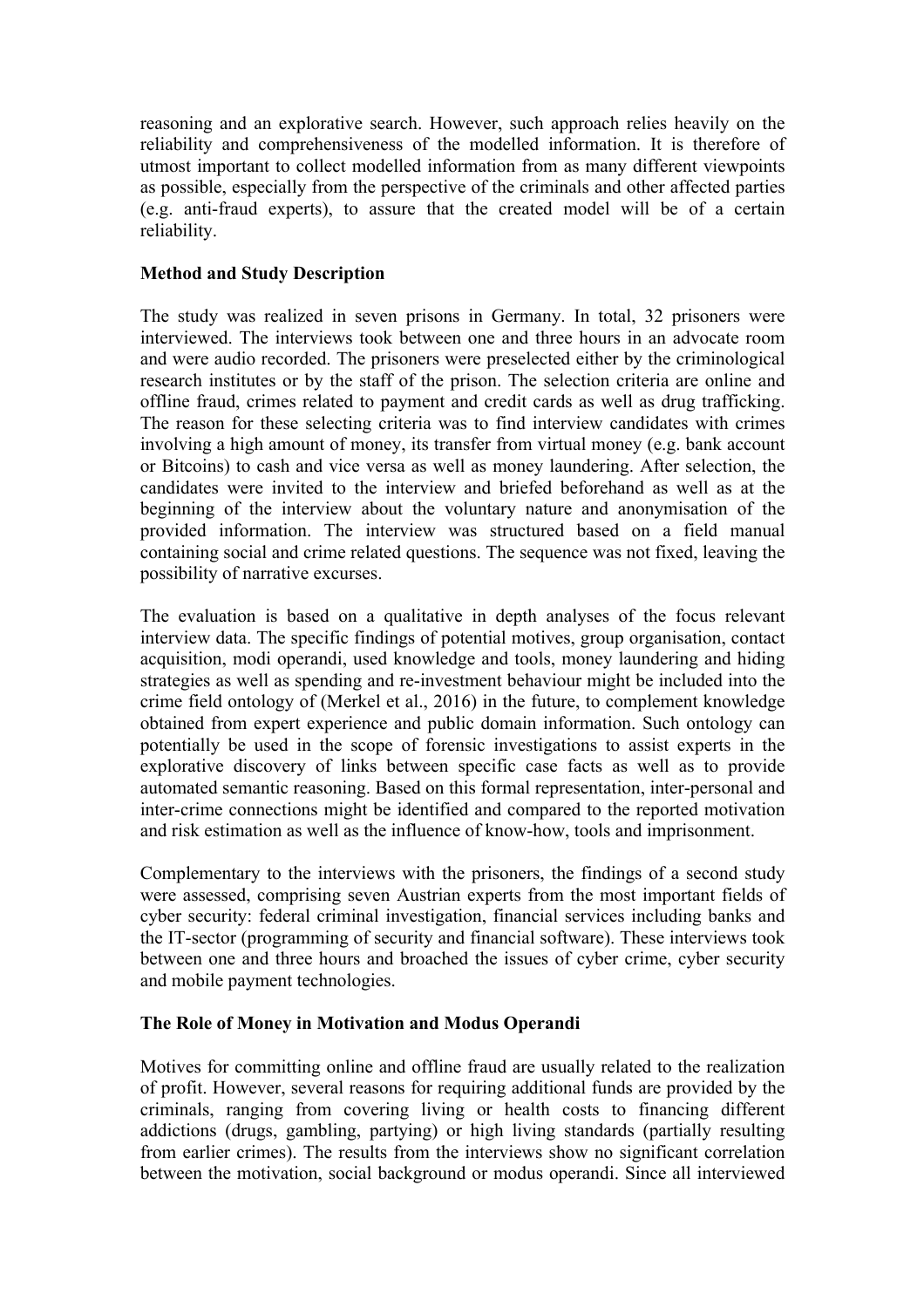reasoning and an explorative search. However, such approach relies heavily on the reliability and comprehensiveness of the modelled information. It is therefore of utmost important to collect modelled information from as many different viewpoints as possible, especially from the perspective of the criminals and other affected parties (e.g. anti-fraud experts), to assure that the created model will be of a certain reliability.

# **Method and Study Description**

The study was realized in seven prisons in Germany. In total, 32 prisoners were interviewed. The interviews took between one and three hours in an advocate room and were audio recorded. The prisoners were preselected either by the criminological research institutes or by the staff of the prison. The selection criteria are online and offline fraud, crimes related to payment and credit cards as well as drug trafficking. The reason for these selecting criteria was to find interview candidates with crimes involving a high amount of money, its transfer from virtual money (e.g. bank account or Bitcoins) to cash and vice versa as well as money laundering. After selection, the candidates were invited to the interview and briefed beforehand as well as at the beginning of the interview about the voluntary nature and anonymisation of the provided information. The interview was structured based on a field manual containing social and crime related questions. The sequence was not fixed, leaving the possibility of narrative excurses.

The evaluation is based on a qualitative in depth analyses of the focus relevant interview data. The specific findings of potential motives, group organisation, contact acquisition, modi operandi, used knowledge and tools, money laundering and hiding strategies as well as spending and re-investment behaviour might be included into the crime field ontology of (Merkel et al., 2016) in the future, to complement knowledge obtained from expert experience and public domain information. Such ontology can potentially be used in the scope of forensic investigations to assist experts in the explorative discovery of links between specific case facts as well as to provide automated semantic reasoning. Based on this formal representation, inter-personal and inter-crime connections might be identified and compared to the reported motivation and risk estimation as well as the influence of know-how, tools and imprisonment.

Complementary to the interviews with the prisoners, the findings of a second study were assessed, comprising seven Austrian experts from the most important fields of cyber security: federal criminal investigation, financial services including banks and the IT-sector (programming of security and financial software). These interviews took between one and three hours and broached the issues of cyber crime, cyber security and mobile payment technologies.

# **The Role of Money in Motivation and Modus Operandi**

Motives for committing online and offline fraud are usually related to the realization of profit. However, several reasons for requiring additional funds are provided by the criminals, ranging from covering living or health costs to financing different addictions (drugs, gambling, partying) or high living standards (partially resulting from earlier crimes). The results from the interviews show no significant correlation between the motivation, social background or modus operandi. Since all interviewed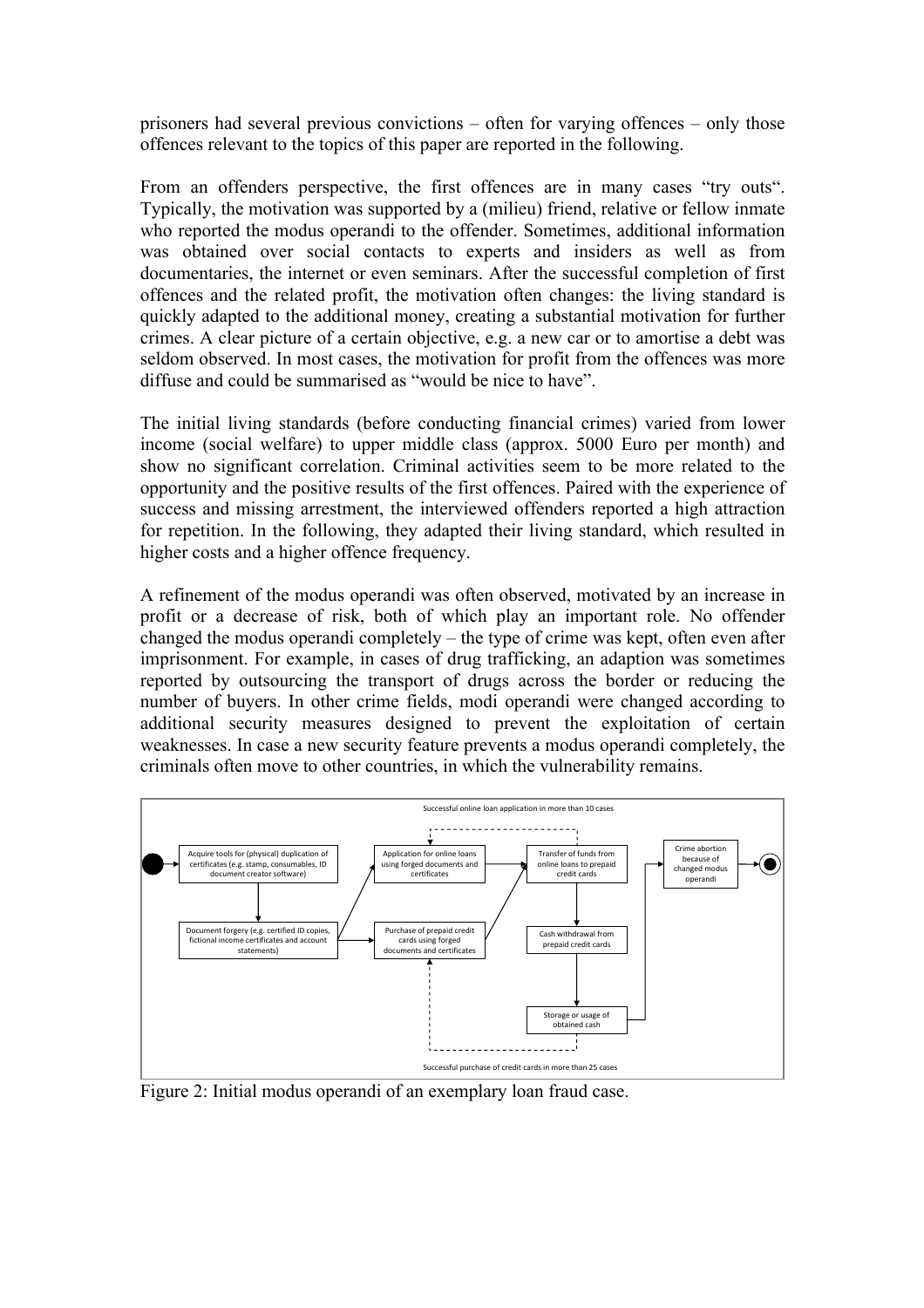prisoners had several previous convictions – often for varying offences – only those offences relevant to the topics of this paper are reported in the following.

From an offenders perspective, the first offences are in many cases "try outs". Typically, the motivation was supported by a (milieu) friend, relative or fellow inmate who reported the modus operandi to the offender. Sometimes, additional information was obtained over social contacts to experts and insiders as well as from documentaries, the internet or even seminars. After the successful completion of first offences and the related profit, the motivation often changes: the living standard is quickly adapted to the additional money, creating a substantial motivation for further crimes. A clear picture of a certain objective, e.g. a new car or to amortise a debt was seldom observed. In most cases, the motivation for profit from the offences was more diffuse and could be summarised as "would be nice to have".

The initial living standards (before conducting financial crimes) varied from lower income (social welfare) to upper middle class (approx. 5000 Euro per month) and show no significant correlation. Criminal activities seem to be more related to the opportunity and the positive results of the first offences. Paired with the experience of success and missing arrestment, the interviewed offenders reported a high attraction for repetition. In the following, they adapted their living standard, which resulted in higher costs and a higher offence frequency.

A refinement of the modus operandi was often observed, motivated by an increase in profit or a decrease of risk, both of which play an important role. No offender changed the modus operandi completely – the type of crime was kept, often even after imprisonment. For example, in cases of drug trafficking, an adaption was sometimes reported by outsourcing the transport of drugs across the border or reducing the number of buyers. In other crime fields, modi operandi were changed according to additional security measures designed to prevent the exploitation of certain weaknesses. In case a new security feature prevents a modus operandi completely, the criminals often move to other countries, in which the vulnerability remains.



Figure 2: Initial modus operandi of an exemplary loan fraud case.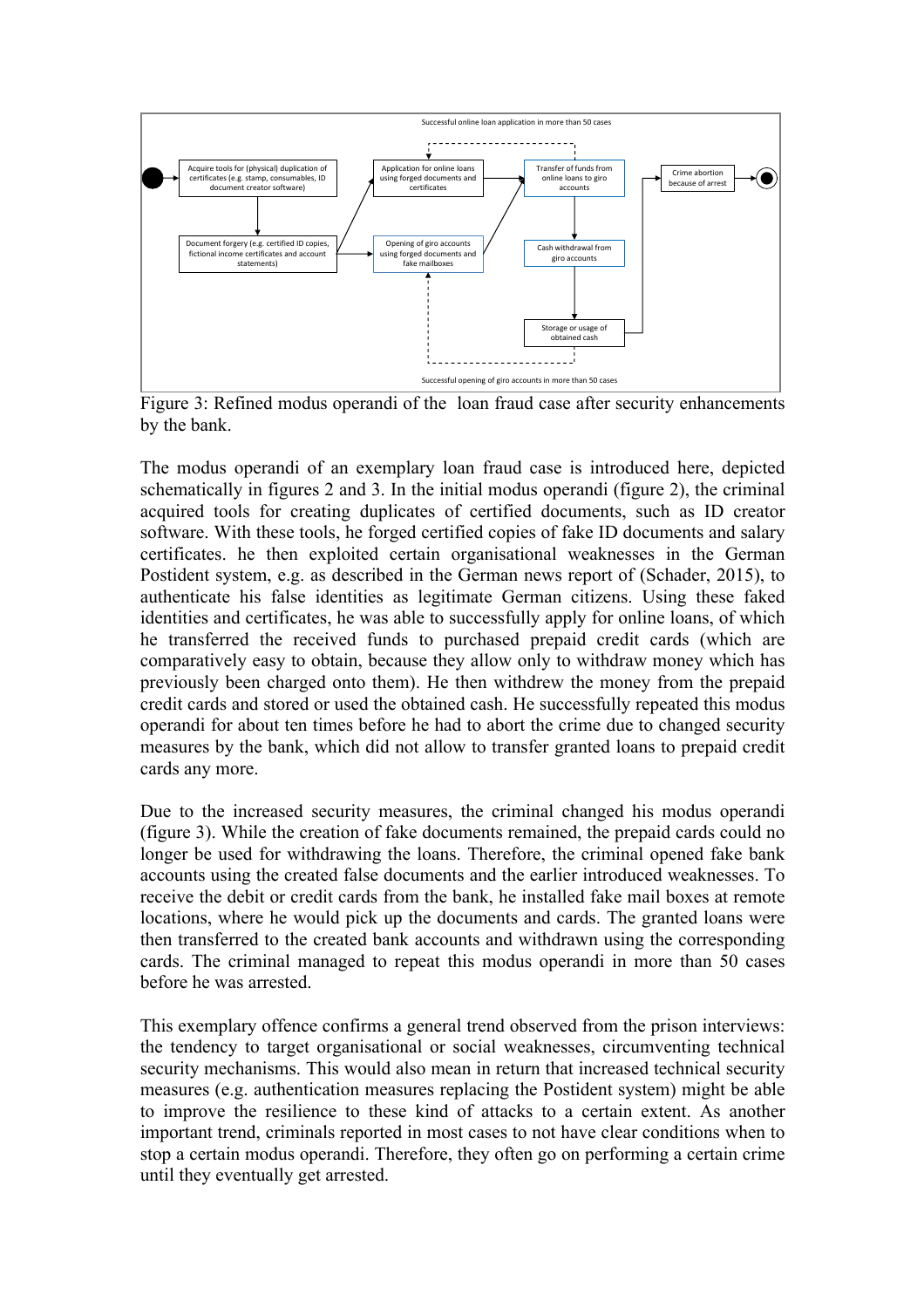

Figure 3: Refined modus operandi of the loan fraud case after security enhancements by the bank.

The modus operandi of an exemplary loan fraud case is introduced here, depicted schematically in figures 2 and 3. In the initial modus operandi (figure 2), the criminal acquired tools for creating duplicates of certified documents, such as ID creator software. With these tools, he forged certified copies of fake ID documents and salary certificates. he then exploited certain organisational weaknesses in the German Postident system, e.g. as described in the German news report of (Schader, 2015), to authenticate his false identities as legitimate German citizens. Using these faked identities and certificates, he was able to successfully apply for online loans, of which he transferred the received funds to purchased prepaid credit cards (which are comparatively easy to obtain, because they allow only to withdraw money which has previously been charged onto them). He then withdrew the money from the prepaid credit cards and stored or used the obtained cash. He successfully repeated this modus operandi for about ten times before he had to abort the crime due to changed security measures by the bank, which did not allow to transfer granted loans to prepaid credit cards any more.

Due to the increased security measures, the criminal changed his modus operandi (figure 3). While the creation of fake documents remained, the prepaid cards could no longer be used for withdrawing the loans. Therefore, the criminal opened fake bank accounts using the created false documents and the earlier introduced weaknesses. To receive the debit or credit cards from the bank, he installed fake mail boxes at remote locations, where he would pick up the documents and cards. The granted loans were then transferred to the created bank accounts and withdrawn using the corresponding cards. The criminal managed to repeat this modus operandi in more than 50 cases before he was arrested.

This exemplary offence confirms a general trend observed from the prison interviews: the tendency to target organisational or social weaknesses, circumventing technical security mechanisms. This would also mean in return that increased technical security measures (e.g. authentication measures replacing the Postident system) might be able to improve the resilience to these kind of attacks to a certain extent. As another important trend, criminals reported in most cases to not have clear conditions when to stop a certain modus operandi. Therefore, they often go on performing a certain crime until they eventually get arrested.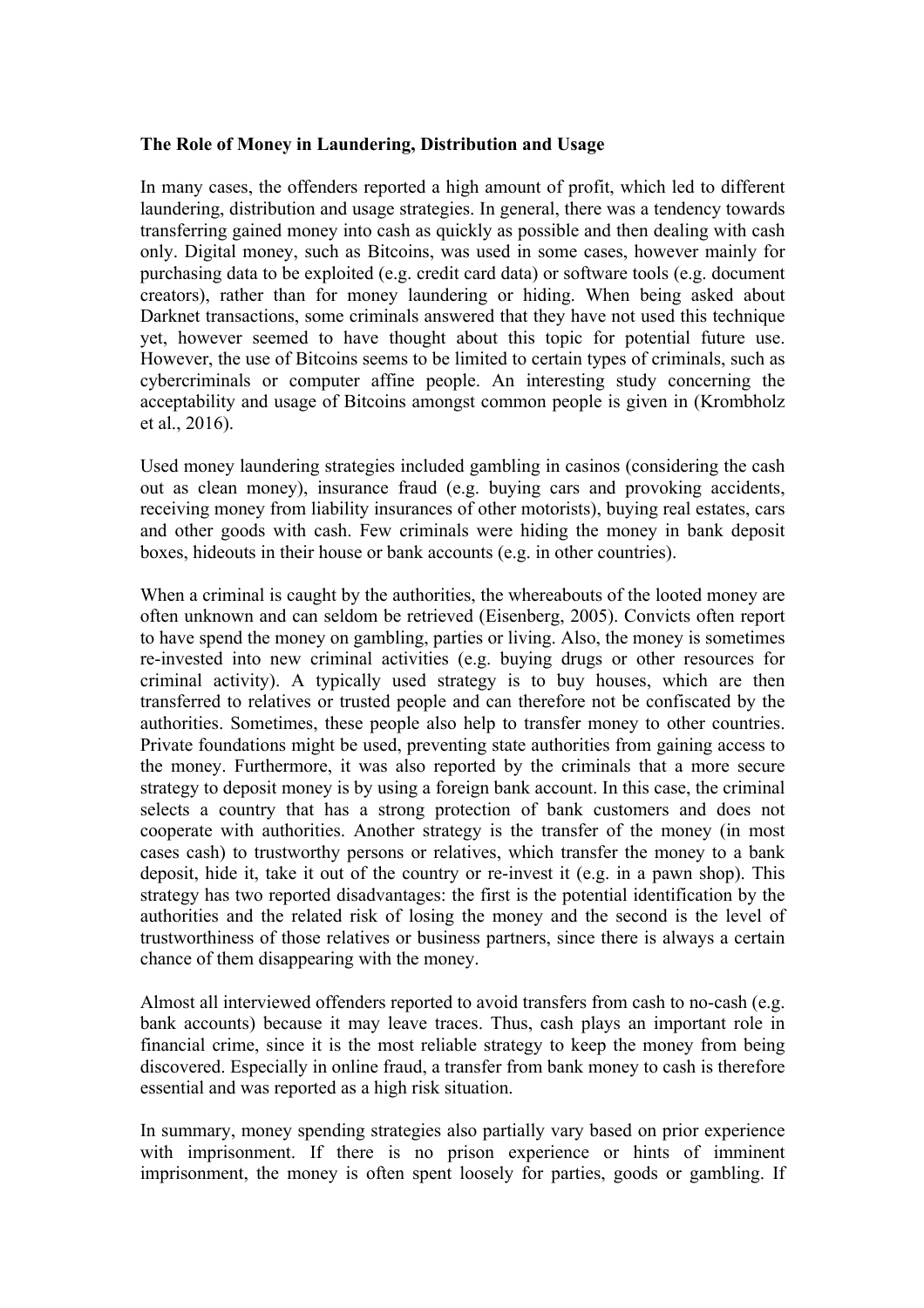#### **The Role of Money in Laundering, Distribution and Usage**

In many cases, the offenders reported a high amount of profit, which led to different laundering, distribution and usage strategies. In general, there was a tendency towards transferring gained money into cash as quickly as possible and then dealing with cash only. Digital money, such as Bitcoins, was used in some cases, however mainly for purchasing data to be exploited (e.g. credit card data) or software tools (e.g. document creators), rather than for money laundering or hiding. When being asked about Darknet transactions, some criminals answered that they have not used this technique yet, however seemed to have thought about this topic for potential future use. However, the use of Bitcoins seems to be limited to certain types of criminals, such as cybercriminals or computer affine people. An interesting study concerning the acceptability and usage of Bitcoins amongst common people is given in (Krombholz et al., 2016).

Used money laundering strategies included gambling in casinos (considering the cash out as clean money), insurance fraud (e.g. buying cars and provoking accidents, receiving money from liability insurances of other motorists), buying real estates, cars and other goods with cash. Few criminals were hiding the money in bank deposit boxes, hideouts in their house or bank accounts (e.g. in other countries).

When a criminal is caught by the authorities, the whereabouts of the looted money are often unknown and can seldom be retrieved (Eisenberg, 2005). Convicts often report to have spend the money on gambling, parties or living. Also, the money is sometimes re-invested into new criminal activities (e.g. buying drugs or other resources for criminal activity). A typically used strategy is to buy houses, which are then transferred to relatives or trusted people and can therefore not be confiscated by the authorities. Sometimes, these people also help to transfer money to other countries. Private foundations might be used, preventing state authorities from gaining access to the money. Furthermore, it was also reported by the criminals that a more secure strategy to deposit money is by using a foreign bank account. In this case, the criminal selects a country that has a strong protection of bank customers and does not cooperate with authorities. Another strategy is the transfer of the money (in most cases cash) to trustworthy persons or relatives, which transfer the money to a bank deposit, hide it, take it out of the country or re-invest it (e.g. in a pawn shop). This strategy has two reported disadvantages: the first is the potential identification by the authorities and the related risk of losing the money and the second is the level of trustworthiness of those relatives or business partners, since there is always a certain chance of them disappearing with the money.

Almost all interviewed offenders reported to avoid transfers from cash to no-cash (e.g. bank accounts) because it may leave traces. Thus, cash plays an important role in financial crime, since it is the most reliable strategy to keep the money from being discovered. Especially in online fraud, a transfer from bank money to cash is therefore essential and was reported as a high risk situation.

In summary, money spending strategies also partially vary based on prior experience with imprisonment. If there is no prison experience or hints of imminent imprisonment, the money is often spent loosely for parties, goods or gambling. If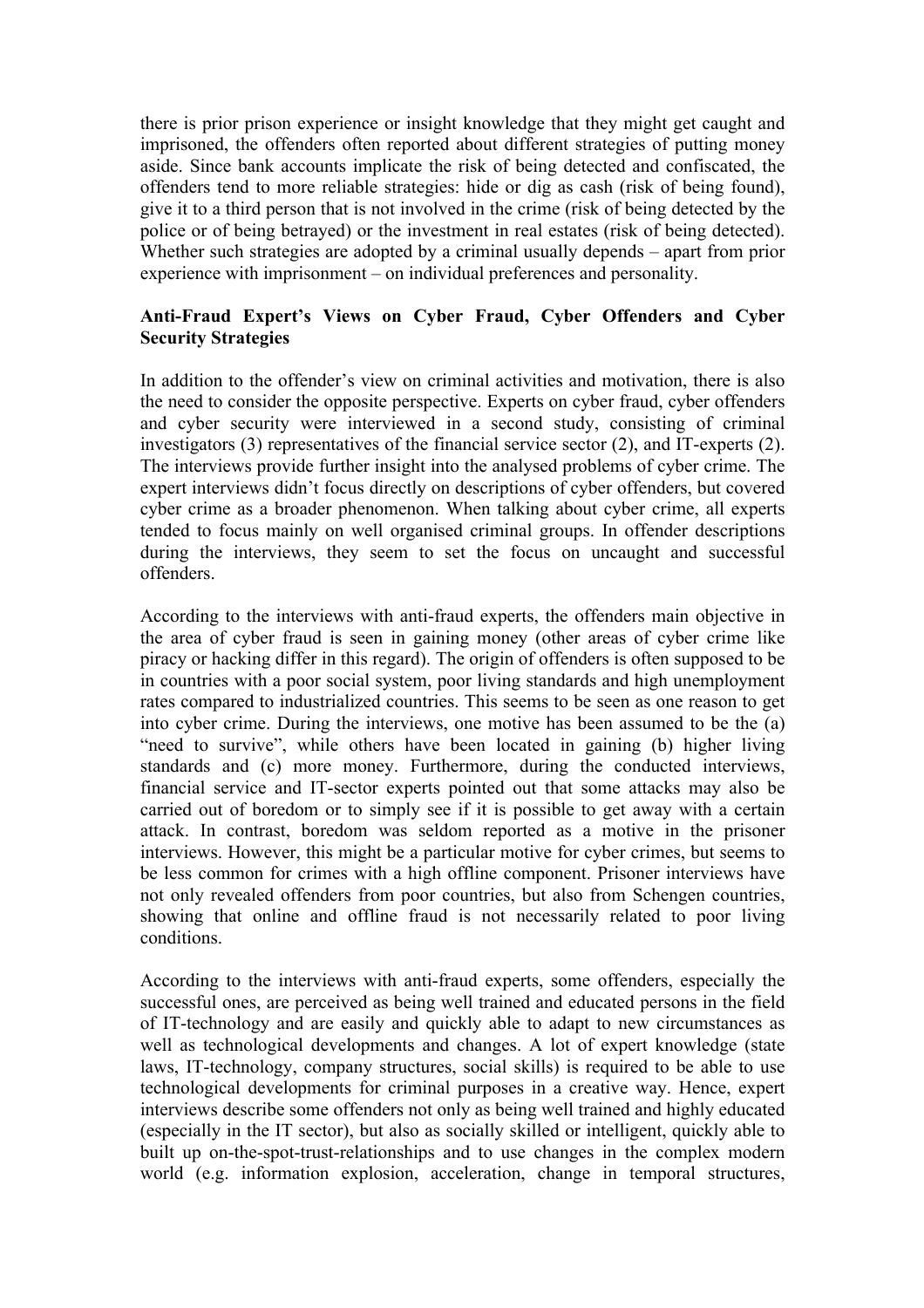there is prior prison experience or insight knowledge that they might get caught and imprisoned, the offenders often reported about different strategies of putting money aside. Since bank accounts implicate the risk of being detected and confiscated, the offenders tend to more reliable strategies: hide or dig as cash (risk of being found), give it to a third person that is not involved in the crime (risk of being detected by the police or of being betrayed) or the investment in real estates (risk of being detected). Whether such strategies are adopted by a criminal usually depends – apart from prior experience with imprisonment – on individual preferences and personality.

# **Anti-Fraud Expert's Views on Cyber Fraud, Cyber Offenders and Cyber Security Strategies**

In addition to the offender's view on criminal activities and motivation, there is also the need to consider the opposite perspective. Experts on cyber fraud, cyber offenders and cyber security were interviewed in a second study, consisting of criminal investigators (3) representatives of the financial service sector (2), and IT-experts (2). The interviews provide further insight into the analysed problems of cyber crime. The expert interviews didn't focus directly on descriptions of cyber offenders, but covered cyber crime as a broader phenomenon. When talking about cyber crime, all experts tended to focus mainly on well organised criminal groups. In offender descriptions during the interviews, they seem to set the focus on uncaught and successful offenders.

According to the interviews with anti-fraud experts, the offenders main objective in the area of cyber fraud is seen in gaining money (other areas of cyber crime like piracy or hacking differ in this regard). The origin of offenders is often supposed to be in countries with a poor social system, poor living standards and high unemployment rates compared to industrialized countries. This seems to be seen as one reason to get into cyber crime. During the interviews, one motive has been assumed to be the (a) "need to survive", while others have been located in gaining (b) higher living standards and (c) more money. Furthermore, during the conducted interviews, financial service and IT-sector experts pointed out that some attacks may also be carried out of boredom or to simply see if it is possible to get away with a certain attack. In contrast, boredom was seldom reported as a motive in the prisoner interviews. However, this might be a particular motive for cyber crimes, but seems to be less common for crimes with a high offline component. Prisoner interviews have not only revealed offenders from poor countries, but also from Schengen countries, showing that online and offline fraud is not necessarily related to poor living conditions.

According to the interviews with anti-fraud experts, some offenders, especially the successful ones, are perceived as being well trained and educated persons in the field of IT-technology and are easily and quickly able to adapt to new circumstances as well as technological developments and changes. A lot of expert knowledge (state laws, IT-technology, company structures, social skills) is required to be able to use technological developments for criminal purposes in a creative way. Hence, expert interviews describe some offenders not only as being well trained and highly educated (especially in the IT sector), but also as socially skilled or intelligent, quickly able to built up on-the-spot-trust-relationships and to use changes in the complex modern world (e.g. information explosion, acceleration, change in temporal structures,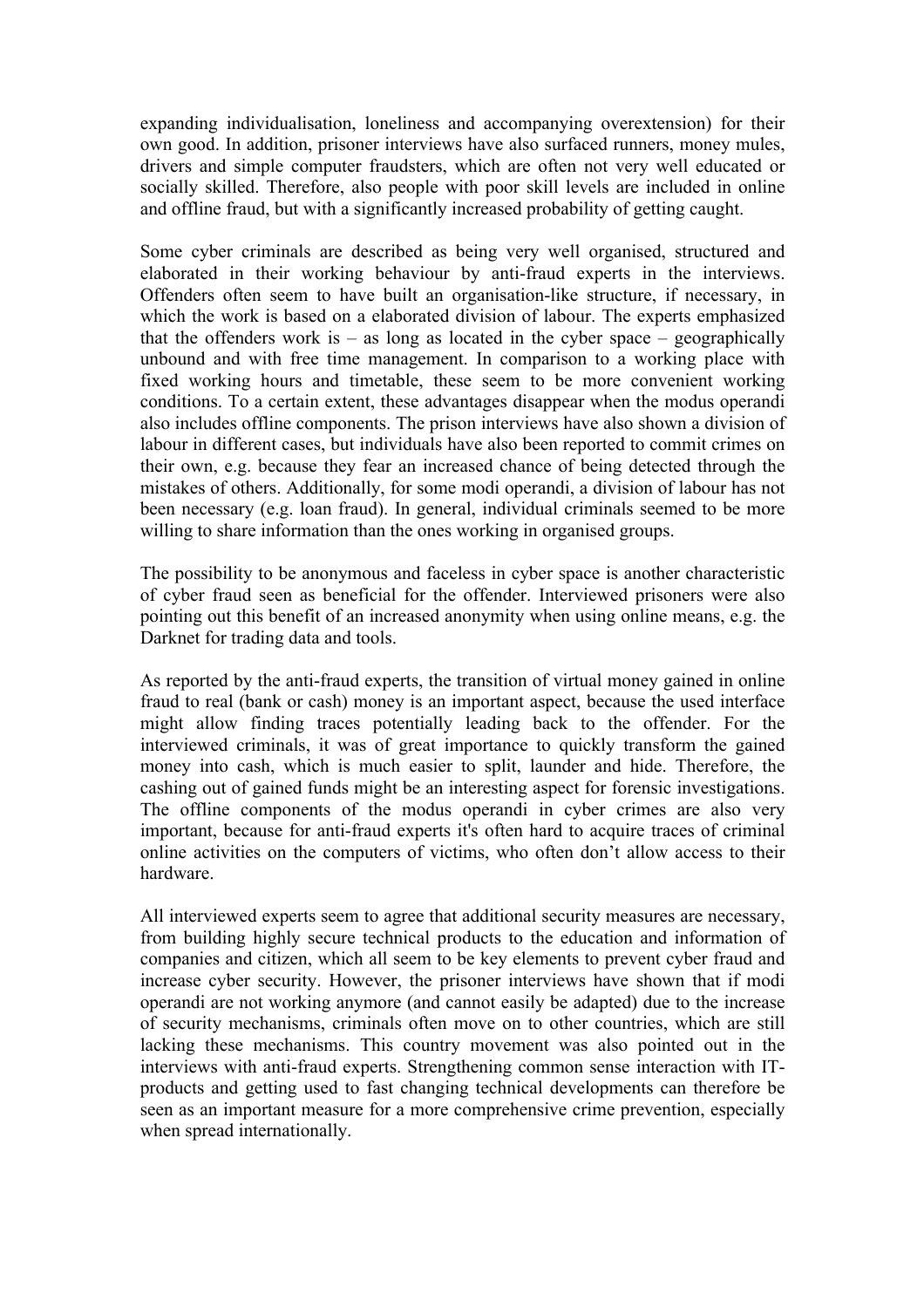expanding individualisation, loneliness and accompanying overextension) for their own good. In addition, prisoner interviews have also surfaced runners, money mules, drivers and simple computer fraudsters, which are often not very well educated or socially skilled. Therefore, also people with poor skill levels are included in online and offline fraud, but with a significantly increased probability of getting caught.

Some cyber criminals are described as being very well organised, structured and elaborated in their working behaviour by anti-fraud experts in the interviews. Offenders often seem to have built an organisation-like structure, if necessary, in which the work is based on a elaborated division of labour. The experts emphasized that the offenders work is  $-$  as long as located in the cyber space  $-$  geographically unbound and with free time management. In comparison to a working place with fixed working hours and timetable, these seem to be more convenient working conditions. To a certain extent, these advantages disappear when the modus operandi also includes offline components. The prison interviews have also shown a division of labour in different cases, but individuals have also been reported to commit crimes on their own, e.g. because they fear an increased chance of being detected through the mistakes of others. Additionally, for some modi operandi, a division of labour has not been necessary (e.g. loan fraud). In general, individual criminals seemed to be more willing to share information than the ones working in organised groups.

The possibility to be anonymous and faceless in cyber space is another characteristic of cyber fraud seen as beneficial for the offender. Interviewed prisoners were also pointing out this benefit of an increased anonymity when using online means, e.g. the Darknet for trading data and tools.

As reported by the anti-fraud experts, the transition of virtual money gained in online fraud to real (bank or cash) money is an important aspect, because the used interface might allow finding traces potentially leading back to the offender. For the interviewed criminals, it was of great importance to quickly transform the gained money into cash, which is much easier to split, launder and hide. Therefore, the cashing out of gained funds might be an interesting aspect for forensic investigations. The offline components of the modus operandi in cyber crimes are also very important, because for anti-fraud experts it's often hard to acquire traces of criminal online activities on the computers of victims, who often don't allow access to their hardware.

All interviewed experts seem to agree that additional security measures are necessary, from building highly secure technical products to the education and information of companies and citizen, which all seem to be key elements to prevent cyber fraud and increase cyber security. However, the prisoner interviews have shown that if modi operandi are not working anymore (and cannot easily be adapted) due to the increase of security mechanisms, criminals often move on to other countries, which are still lacking these mechanisms. This country movement was also pointed out in the interviews with anti-fraud experts. Strengthening common sense interaction with ITproducts and getting used to fast changing technical developments can therefore be seen as an important measure for a more comprehensive crime prevention, especially when spread internationally.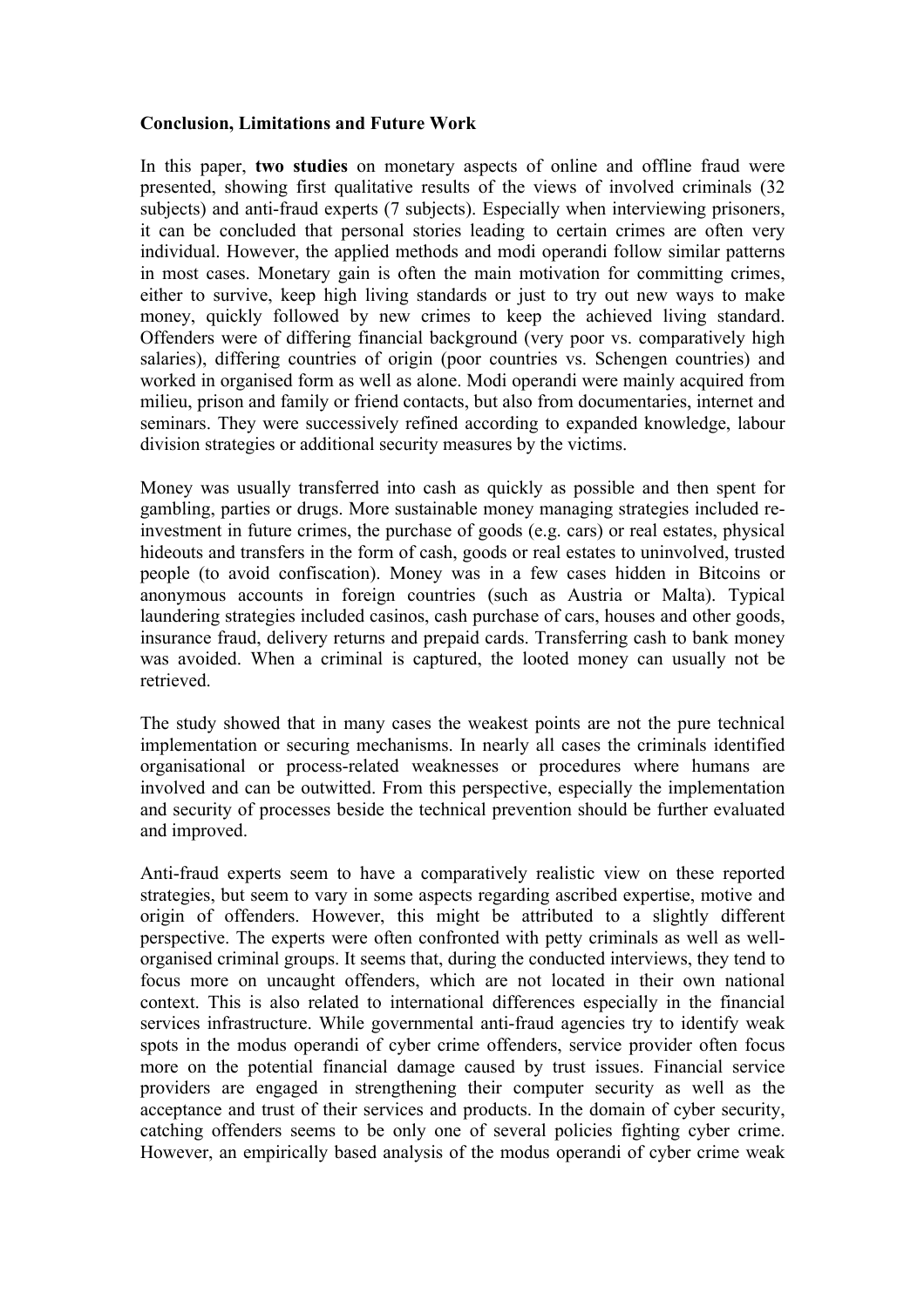## **Conclusion, Limitations and Future Work**

In this paper, **two studies** on monetary aspects of online and offline fraud were presented, showing first qualitative results of the views of involved criminals (32 subjects) and anti-fraud experts (7 subjects). Especially when interviewing prisoners, it can be concluded that personal stories leading to certain crimes are often very individual. However, the applied methods and modi operandi follow similar patterns in most cases. Monetary gain is often the main motivation for committing crimes, either to survive, keep high living standards or just to try out new ways to make money, quickly followed by new crimes to keep the achieved living standard. Offenders were of differing financial background (very poor vs. comparatively high salaries), differing countries of origin (poor countries vs. Schengen countries) and worked in organised form as well as alone. Modi operandi were mainly acquired from milieu, prison and family or friend contacts, but also from documentaries, internet and seminars. They were successively refined according to expanded knowledge, labour division strategies or additional security measures by the victims.

Money was usually transferred into cash as quickly as possible and then spent for gambling, parties or drugs. More sustainable money managing strategies included reinvestment in future crimes, the purchase of goods (e.g. cars) or real estates, physical hideouts and transfers in the form of cash, goods or real estates to uninvolved, trusted people (to avoid confiscation). Money was in a few cases hidden in Bitcoins or anonymous accounts in foreign countries (such as Austria or Malta). Typical laundering strategies included casinos, cash purchase of cars, houses and other goods, insurance fraud, delivery returns and prepaid cards. Transferring cash to bank money was avoided. When a criminal is captured, the looted money can usually not be retrieved.

The study showed that in many cases the weakest points are not the pure technical implementation or securing mechanisms. In nearly all cases the criminals identified organisational or process-related weaknesses or procedures where humans are involved and can be outwitted. From this perspective, especially the implementation and security of processes beside the technical prevention should be further evaluated and improved.

Anti-fraud experts seem to have a comparatively realistic view on these reported strategies, but seem to vary in some aspects regarding ascribed expertise, motive and origin of offenders. However, this might be attributed to a slightly different perspective. The experts were often confronted with petty criminals as well as wellorganised criminal groups. It seems that, during the conducted interviews, they tend to focus more on uncaught offenders, which are not located in their own national context. This is also related to international differences especially in the financial services infrastructure. While governmental anti-fraud agencies try to identify weak spots in the modus operandi of cyber crime offenders, service provider often focus more on the potential financial damage caused by trust issues. Financial service providers are engaged in strengthening their computer security as well as the acceptance and trust of their services and products. In the domain of cyber security, catching offenders seems to be only one of several policies fighting cyber crime. However, an empirically based analysis of the modus operandi of cyber crime weak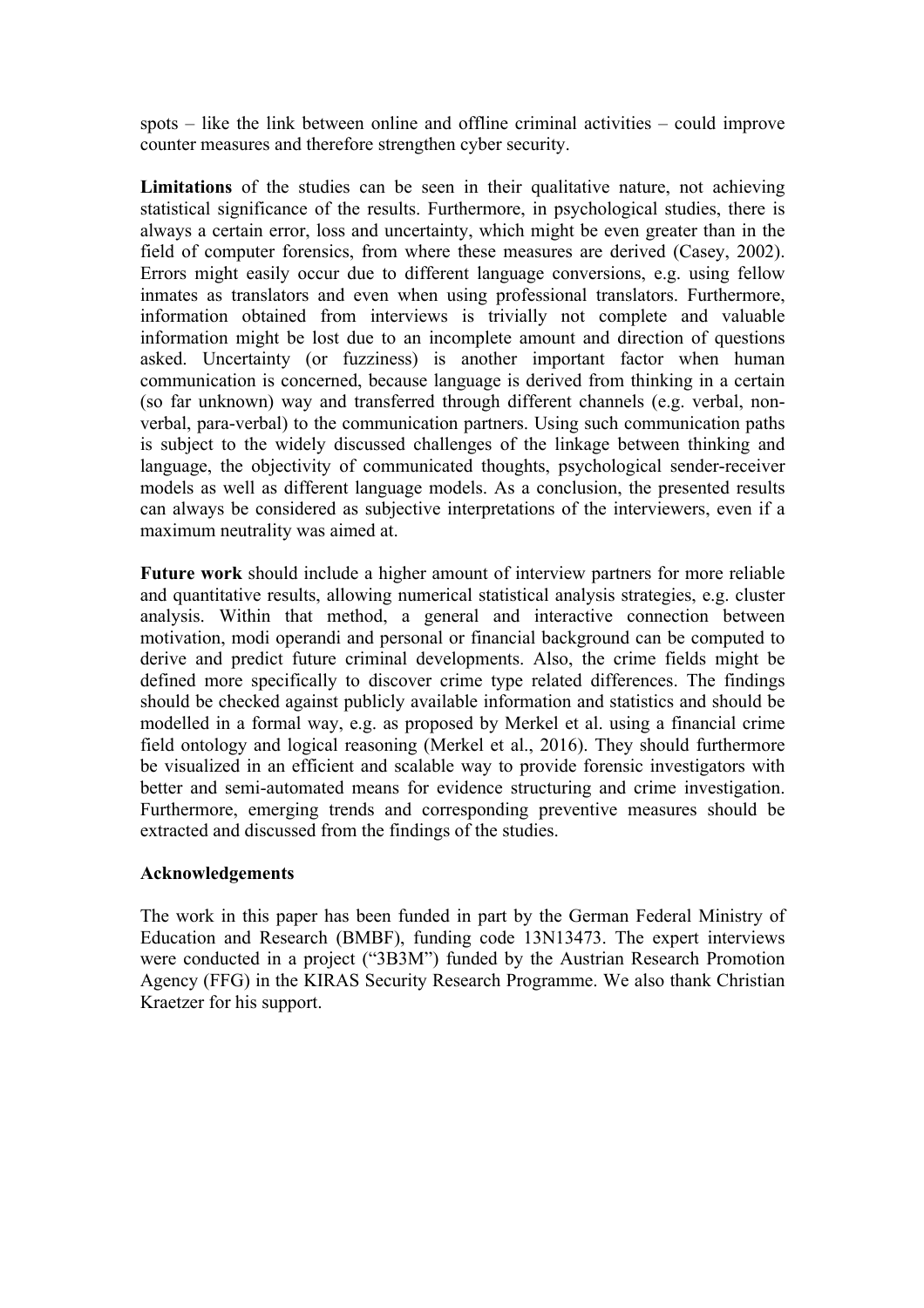spots – like the link between online and offline criminal activities – could improve counter measures and therefore strengthen cyber security.

**Limitations** of the studies can be seen in their qualitative nature, not achieving statistical significance of the results. Furthermore, in psychological studies, there is always a certain error, loss and uncertainty, which might be even greater than in the field of computer forensics, from where these measures are derived (Casey, 2002). Errors might easily occur due to different language conversions, e.g. using fellow inmates as translators and even when using professional translators. Furthermore, information obtained from interviews is trivially not complete and valuable information might be lost due to an incomplete amount and direction of questions asked. Uncertainty (or fuzziness) is another important factor when human communication is concerned, because language is derived from thinking in a certain (so far unknown) way and transferred through different channels (e.g. verbal, nonverbal, para-verbal) to the communication partners. Using such communication paths is subject to the widely discussed challenges of the linkage between thinking and language, the objectivity of communicated thoughts, psychological sender-receiver models as well as different language models. As a conclusion, the presented results can always be considered as subjective interpretations of the interviewers, even if a maximum neutrality was aimed at.

**Future work** should include a higher amount of interview partners for more reliable and quantitative results, allowing numerical statistical analysis strategies, e.g. cluster analysis. Within that method, a general and interactive connection between motivation, modi operandi and personal or financial background can be computed to derive and predict future criminal developments. Also, the crime fields might be defined more specifically to discover crime type related differences. The findings should be checked against publicly available information and statistics and should be modelled in a formal way, e.g. as proposed by Merkel et al. using a financial crime field ontology and logical reasoning (Merkel et al., 2016). They should furthermore be visualized in an efficient and scalable way to provide forensic investigators with better and semi-automated means for evidence structuring and crime investigation. Furthermore, emerging trends and corresponding preventive measures should be extracted and discussed from the findings of the studies.

## **Acknowledgements**

The work in this paper has been funded in part by the German Federal Ministry of Education and Research (BMBF), funding code 13N13473. The expert interviews were conducted in a project ("3B3M") funded by the Austrian Research Promotion Agency (FFG) in the KIRAS Security Research Programme. We also thank Christian Kraetzer for his support.